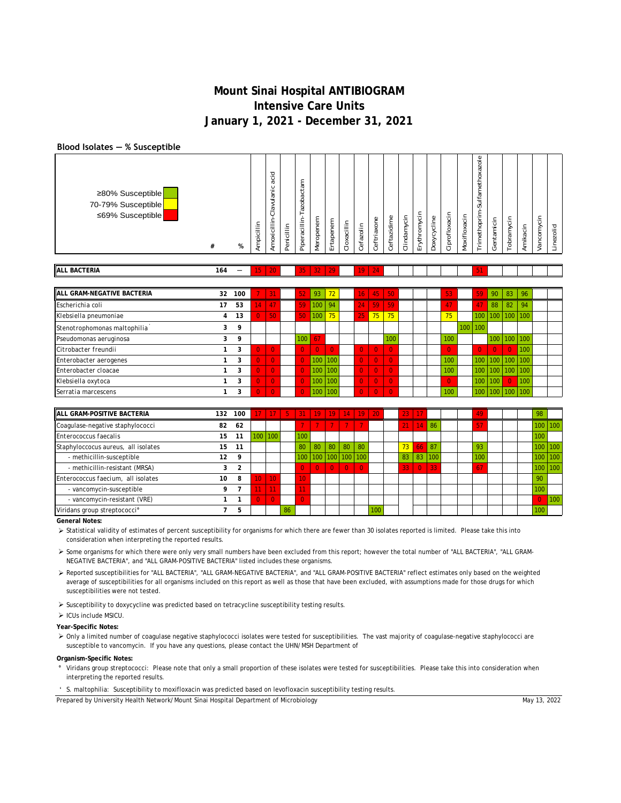### **Blood Isolates ― % Susceptible**

| <b>ALL BACTERIA</b>                                        | 164 | $\overline{\phantom{0}}$ | 15                   | 20                                                                           |            | 35                                                                | 32                         | 29               |             | 19        | 24                    |             |                 |                                  |                             |               |              |                                                                                                                                                       |                |           |          |               |           |
|------------------------------------------------------------|-----|--------------------------|----------------------|------------------------------------------------------------------------------|------------|-------------------------------------------------------------------|----------------------------|------------------|-------------|-----------|-----------------------|-------------|-----------------|----------------------------------|-----------------------------|---------------|--------------|-------------------------------------------------------------------------------------------------------------------------------------------------------|----------------|-----------|----------|---------------|-----------|
| ≥80% Susceptible<br>70-79% Susceptible<br>≤69% Susceptible | #   | %                        | ≞<br>$=$<br>bic<br>Ę | 흐<br>g<br>$\circ$<br>.-<br>$\overline{a}$<br>흐<br>Clavul<br>ċ<br>≣<br>Amoxic | Penicillin | Π<br>ت<br>obac<br>Ñ<br>$\vec{\sigma}$<br>⊢<br>크.<br>lia<br>Piper: | εm<br>5<br>ē<br><b>Ner</b> | em<br>tapen<br>ш | Cloxacillin | Cefazolin | $\circ$<br>Ceftriaxon | Ceftazidime | 크.<br>Clindamyc | $\circ$<br>δ<br>툴<br>➤<br>∽<br>ш | ٥e<br>j<br>-<br>Š<br>Doxyc' | Ciprofloxacin | Moxifloxacin | $\underline{\circ}$<br>$\circ$<br>Ñ<br>$\sigma$<br>$\overline{\mathbf{x}}$<br>$\circ$<br>€<br>$\omega$<br>-<br>$\sigma$<br>تبه<br>-<br>Z<br>rimethopr | entamicin<br>Ō | obramycin | Amikacin | din<br>ancomy | Linezolid |

| <b>ALL GRAM-NEGATIVE BACTERIA</b> | 32 | 100 |                 | 131      | 52  | 93    | 72               | 16 <sup>1</sup> | 45 <sup>1</sup> | $-50$    |  | 53             |     | 59               | 90               | 83       | 96                    |  |
|-----------------------------------|----|-----|-----------------|----------|-----|-------|------------------|-----------------|-----------------|----------|--|----------------|-----|------------------|------------------|----------|-----------------------|--|
| Escherichia coli                  | 17 | 53  | $\overline{14}$ | 47       | 59  | 100   | 94               | $\overline{24}$ | 59              | 1591     |  | /47/           |     | 47               | 88               | 82       | 94                    |  |
| Klebsiella pneumoniae             | 4  | 13  | $\Omega$        | 50       | 50  | 100   | 75               | 25              | 75              | 75       |  | 75             |     | 100              | 100 <sub>1</sub> |          | 100 100               |  |
| Stenotrophomonas maltophilia      |    | 9   |                 |          |     |       |                  |                 |                 |          |  |                | 100 | $ 100\rangle$    |                  |          |                       |  |
| Pseudomonas aeruginosa            |    | 9   |                 |          | 100 | 67    |                  |                 |                 | 100      |  | 100            |     |                  |                  |          | $100$   $100$   $100$ |  |
| Citrobacter freundii              |    | 3   | $\Omega$        | $\Omega$ | O.  | $0-1$ | $\overline{0}$   | $\mathbf{0}$    | $\Omega$        | $\Omega$ |  | $\overline{0}$ |     | $\Omega$         | $\Omega$         | $\Omega$ | 100                   |  |
| Enterobacter aerogenes            |    | 3   | $\Omega$        | $\Omega$ | Ō   | 1100  | 100              | $\Omega$        | $\Omega$        | $\Omega$ |  | 100            |     | 100              |                  |          | $100$ 100 100         |  |
| Enterobacter cloacae              |    | 3   | $\Omega$        | $\Omega$ | Ō   | 100   | 100 <sup>1</sup> | $\Omega$        | $\Omega$        | $\Omega$ |  | 100            |     | 100 <sub>1</sub> | 100 <sub>1</sub> |          | $100$ 100             |  |
| Klebsiella oxytoca                |    | 3   | Ō.              | $\Omega$ | Ō   | 100   | 100 <sup>1</sup> | $\mathbf{0}$    | $\Omega$        | $\Omega$ |  | $\overline{0}$ |     | 100              | 100              | $\Omega$ | 100                   |  |
| Serratia marcescens               |    | 3   | $\Omega$        | $\Omega$ | Ō   | 100   | 100              | $\overline{0}$  | $\overline{0}$  | $\Omega$ |  | 100            |     | 100 <sub>1</sub> | 100 <sup>1</sup> |          | 100 100               |  |

| <b>ALL GRAM-POSITIVE BACTERIA</b>   | 132 | 100 | 17 <sup>1</sup>  |          | $17$ 5 |          |    | $31$   19   19   14   19   20 |                |          |     | 23 |                |            |  | 49              |  | 98       |             |
|-------------------------------------|-----|-----|------------------|----------|--------|----------|----|-------------------------------|----------------|----------|-----|----|----------------|------------|--|-----------------|--|----------|-------------|
| Coagulase-negative staphylococci    | 82  | 62  |                  |          |        |          |    |                               |                |          |     |    | П4             | -86        |  | 57              |  |          | 100 100     |
| Enterococcus faecalis               | 15  | 11  | 100 <sup>1</sup> | 100      |        | 100      |    |                               |                |          |     |    |                |            |  |                 |  | 100      |             |
| Staphyloccocus aureus, all isolates | 15  | 11  |                  |          |        | 80       | 80 | 80                            | 80             | 80       |     | 73 | 66             | l 87       |  | 93              |  |          | $100$   100 |
| - methicillin-susceptible           | 12  | 9   |                  |          |        |          |    | 100   100   100   100   100   |                |          |     | 83 | 83             | 100        |  | 10 <sub>c</sub> |  | 100      | 100         |
| - methicillin-resistant (MRSA)      | 3   | ຳ   |                  |          |        | $\Omega$ |    | 0 <sup>1</sup>                | $\overline{0}$ | $\Omega$ |     | 33 | $\overline{0}$ | $\vert$ 33 |  | 67              |  |          | 100 100     |
| Enterococcus faecium, all isolates  | 10  | 8   | 10 <sup>1</sup>  | 10       |        | 10       |    |                               |                |          |     |    |                |            |  |                 |  | 90       |             |
| - vancomycin-susceptible            | Q   |     | 11               | 11       |        | 11       |    |                               |                |          |     |    |                |            |  |                 |  | 100      |             |
| - vancomycin-resistant (VRE)        |     |     | $\Omega$         | $\Omega$ |        | $\Omega$ |    |                               |                |          |     |    |                |            |  |                 |  | $\Omega$ | 100         |
| Viridans group streptococci°        |     | Þ   |                  |          | 86     |          |    |                               |                |          | 100 |    |                |            |  |                 |  | 100      |             |

**General Notes:**

> Statistical validity of estimates of percent susceptibility for organisms for which there are fewer than 30 isolates reported is limited. Please take this into consideration when interpreting the reported results.

 Some organisms for which there were only very small numbers have been excluded from this report; however the total number of "ALL BACTERIA", "ALL GRAM-NEGATIVE BACTERIA", and "ALL GRAM-POSITIVE BACTERIA" listed includes these organisms.

 Reported susceptibilities for "ALL BACTERIA", "ALL GRAM-NEGATIVE BACTERIA", and "ALL GRAM-POSITIVE BACTERIA" reflect estimates only based on the weighted average of susceptibilities for all organisms included on this report as well as those that have been excluded, with assumptions made for those drugs for which susceptibilities were not tested.

 $\triangleright$  Susceptibility to doxycycline was predicted based on tetracycline susceptibility testing results.

 $\triangleright$  ICUs include MSICU.

#### **Year-Specific Notes:**

> Only a limited number of coagulase negative staphylococci isolates were tested for susceptibilities. The vast majority of coagulase-negative staphylococci are susceptible to vancomycin. If you have any questions, please contact the UHN/MSH Department of

#### **Organism-Specific Notes:**

**°** Viridans group streptococci: Please note that only a small proportion of these isolates were tested for susceptibilities. Please take this into consideration when interpreting the reported results.

**'** S. maltophilia: Susceptibility to moxifloxacin was predicted based on levofloxacin susceptibility testing results.

Prepared by University Health Network/Mount Sinai Hospital Department of Microbiology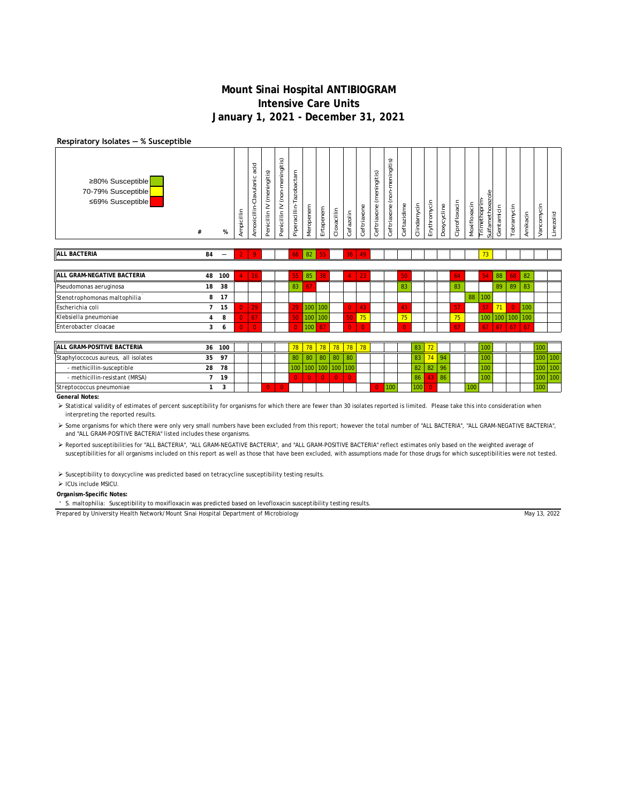### **Respiratory Isolates ― % Susceptible**

| ≥80% Susceptible<br>70-79% Susceptible<br>≤69% Susceptible | #              | %                        | Ampicillin     | acid<br>Amoxicillin-Clavulanic | (meningitis)<br>Penicillin <sub>IV</sub> | (non-meningitis)<br>Penicillin IV | Piperacillin-Tazobactam | Meropenem      | Ertapenem      | Cloxacillin    | Cefazolin      | Ceftriaxone | (meningitis)<br>Ceftriaxone | (non-meningitis)<br>Ceftriaxone | Ceftazidime | Clindamycin | Erythromycin   | Doxycycline | Ciprofloxacin | Moxifloxacin | $rac{e}{\sigma}$<br>Sulfamethoxaz<br>Trimethoprim | Gentamicin      | Tobramycin     | Amikacin | Vancomycin | Linezolid |
|------------------------------------------------------------|----------------|--------------------------|----------------|--------------------------------|------------------------------------------|-----------------------------------|-------------------------|----------------|----------------|----------------|----------------|-------------|-----------------------------|---------------------------------|-------------|-------------|----------------|-------------|---------------|--------------|---------------------------------------------------|-----------------|----------------|----------|------------|-----------|
| <b>ALL BACTERIA</b>                                        | 84             | $\overline{\phantom{0}}$ |                | 9                              |                                          |                                   | 66.                     | 82             | 55             |                | 36             | 49          |                             |                                 |             |             |                |             |               |              | 73                                                |                 |                |          |            |           |
|                                                            |                |                          |                |                                |                                          |                                   |                         |                |                |                |                |             |                             |                                 |             |             |                |             |               |              |                                                   |                 |                |          |            |           |
| ALL GRAM-NEGATIVE BACTERIA                                 | 48             | 100                      | 4              | 16                             |                                          |                                   | 55                      | 85             | 38             |                | 4              | 23          |                             |                                 | 50          |             |                |             | 64            |              | 54                                                | 88              | 68             | 82       |            |           |
| Pseudomonas aeruginosa                                     | 18             | 38                       |                |                                |                                          |                                   | 83                      | 67             |                |                |                |             |                             |                                 | 83          |             |                |             | 83            |              |                                                   | 89              | 89             | 83       |            |           |
| Stenotrophomonas maltophilia                               | 8              | 17                       |                |                                |                                          |                                   |                         |                |                |                |                |             |                             |                                 |             |             |                |             |               | 88           | 100                                               |                 |                |          |            |           |
| Escherichia coli                                           | $\overline{7}$ | 15                       | $\Omega$       | 29                             |                                          |                                   | 29                      |                | 100 100        |                | $\overline{0}$ | 43          |                             |                                 | 43          |             |                |             | 57            |              | 57                                                | 71              | $\overline{0}$ | 100      |            |           |
| Klebsiella pneumoniae                                      | 4              | 8                        | $\overline{0}$ | 67                             |                                          |                                   | 50                      |                | 100 100        |                | 50             | 75          |                             |                                 | 75          |             |                |             | 75            |              | 100                                               |                 | 100 100 100    |          |            |           |
| Enterobacter cloacae                                       | 3              | 6                        | $\Omega$       | $\Omega$                       |                                          |                                   | $\Omega$                | 100            | 67             |                | $\Omega$       | $\Omega$    |                             |                                 | $\Omega$    |             |                |             | 67            |              | 67                                                | 67 <sup>1</sup> | $67 \mid 67$   |          |            |           |
|                                                            |                |                          |                |                                |                                          |                                   |                         |                |                |                |                |             |                             |                                 |             |             |                |             |               |              |                                                   |                 |                |          |            |           |
| ALL GRAM-POSITIVE BACTERIA                                 | 36             | 100                      |                |                                |                                          |                                   | 78                      | 78             | 78             | 78             | 78             | 78          |                             |                                 |             | 83          | 72             |             |               |              | 100                                               |                 |                |          | 100        |           |
| Staphyloccocus aureus, all isolates                        | 35             | 97                       |                |                                |                                          |                                   | 80                      | 80             | 80             | 80             | 80             |             |                             |                                 |             | 83          | 74             | 94          |               |              | 100                                               |                 |                |          | 100        | 100       |
| - methicillin-susceptible                                  | 28             | 78                       |                |                                |                                          |                                   | 100                     | 100            |                | 100 100 100    |                |             |                             |                                 |             | 82          | 82             | 96          |               |              | 100                                               |                 |                |          | 100        | 100       |
| - methicillin-resistant (MRSA)                             | $\overline{7}$ | 19                       |                |                                |                                          |                                   | $\overline{0}$          | $\overline{0}$ | $\overline{0}$ | $\overline{0}$ | $\overline{0}$ |             |                             |                                 |             | 86          | 43             | 86          |               |              | 100                                               |                 |                |          | 100        | 100       |
| Streptococcus pneumoniae                                   | 1              | 3                        |                |                                | $\Omega$                                 | $\overline{0}$                    |                         |                |                |                |                |             | $\Omega$                    | 100                             |             | 100         | $\overline{0}$ |             |               | 100          |                                                   |                 |                |          | 100        |           |
| <b>General Notes:</b>                                      |                |                          |                |                                |                                          |                                   |                         |                |                |                |                |             |                             |                                 |             |             |                |             |               |              |                                                   |                 |                |          |            |           |

> Statistical validity of estimates of percent susceptibility for organisms for which there are fewer than 30 isolates reported is limited. Please take this into consideration when interpreting the reported results.

> Some organisms for which there were only very small numbers have been excluded from this report; however the total number of "ALL BACTERIA", "ALL GRAM-NEGATIVE BACTERIA", and "ALL GRAM-POSITIVE BACTERIA" listed includes these organisms.

> Reported susceptibilities for "ALL BACTERIA", "ALL GRAM-NEGATIVE BACTERIA", and "ALL GRAM-POSITIVE BACTERIA" reflect estimates only based on the weighted average of susceptibilities for all organisms included on this report as well as those that have been excluded, with assumptions made for those drugs for which susceptibilities were not tested.

 $\triangleright$  Susceptibility to doxycycline was predicted based on tetracycline susceptibility testing results.

#### > ICUs include MSICU.

### **Organism-Specific Notes:**

**'** S. maltophilia: Susceptibility to moxifloxacin was predicted based on levofloxacin susceptibility testing results.

Prepared by University Health Network/Mount Sinai Hospital Department of Microbiology

May 13, 2022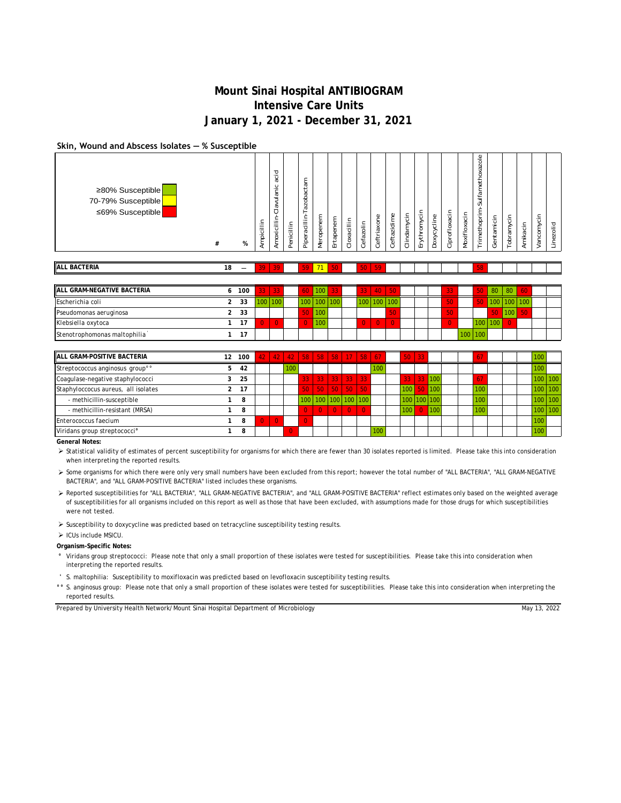## **Skin, Wound and Abscess Isolates ― % Susceptible**

| ≥80% Susceptible<br>70-79% Susceptible<br>$≤69\%$ Susceptible | #              | %                        | Ampicillin      | acid<br>Clavulanic<br>Amoxicillin- | Penicillin | azobactam<br>Ę<br>Piperacillin | Meropenem | Ertapenem | Cloxacillin | Cefazolin | Ceftriaxone | Ceftazidime | Clindamycin | Erythromycin | Doxycycline | Ciprofloxacin  | Moxifloxacin | Ф<br>$\overline{Q}$<br>Sulfamethoxa<br><b>Trimethoprim-</b> | Gentamicin | Tobramycin | Amikacin | Vancomycin | Linezolid |
|---------------------------------------------------------------|----------------|--------------------------|-----------------|------------------------------------|------------|--------------------------------|-----------|-----------|-------------|-----------|-------------|-------------|-------------|--------------|-------------|----------------|--------------|-------------------------------------------------------------|------------|------------|----------|------------|-----------|
| <b>ALL BACTERIA</b>                                           | 18             | $\overline{\phantom{m}}$ | 39              | 39                                 |            | 59                             | 71        | 50        |             | 50        | 59          |             |             |              |             |                |              | 58                                                          |            |            |          |            |           |
|                                                               |                |                          |                 |                                    |            |                                |           |           |             |           |             |             |             |              |             |                |              |                                                             |            |            |          |            |           |
| ALL GRAM-NEGATIVE BACTERIA                                    | 6              | 100                      | 33              | 33                                 |            | 60                             | 100       | 33        |             | 33        | 40          | 50          |             |              |             | 33             |              | 50                                                          | 80         | 80         | 60       |            |           |
| Escherichia coli                                              | 2              | 33                       | 100             | 100                                |            | 100                            | 100       | 100       |             | 100       | 100         | 100         |             |              |             | 50             |              | 50                                                          | 100        | 100        | 100      |            |           |
| Pseudomonas aeruginosa                                        | $\overline{2}$ | 33                       |                 |                                    |            | 50                             | 100       |           |             |           |             | 50          |             |              |             | 50             |              |                                                             | 50         | 100        | 50       |            |           |
| Klebsiella oxytoca                                            |                | 17                       | $\Omega$        | $\Omega$                           |            | $\overline{0}$                 | 100       |           |             | $\Omega$  | $\Omega$    | $\Omega$    |             |              |             | $\overline{0}$ |              | 100                                                         | 100        | $\Omega$   |          |            |           |
| Stenotrophomonas maltophilia                                  |                | 17                       |                 |                                    |            |                                |           |           |             |           |             |             |             |              |             |                | 100          | 100                                                         |            |            |          |            |           |
|                                                               |                |                          |                 |                                    |            |                                |           |           |             |           |             |             |             |              |             |                |              |                                                             |            |            |          |            |           |
| <b>ALL GRAM-POSITIVE BACTERIA</b>                             | 12             | 100                      | 42 <sub>1</sub> | 42                                 | 42         | 58                             | 58        | 58        |             | 17   58   | 67          |             | 50          | 33           |             |                |              | 67                                                          |            |            |          | 100        |           |
| Streptococcus anginosus group <sup>oo</sup>                   | 5              | 42                       |                 |                                    | 100        |                                |           |           |             |           | 100         |             |             |              |             |                |              |                                                             |            |            |          | 100        |           |

| Streptococcus anginosus group <sup>oo</sup> | 42 |  | 100. |       |                |                                      |                | 100 |                  |                |  |     |  | 100 |             |
|---------------------------------------------|----|--|------|-------|----------------|--------------------------------------|----------------|-----|------------------|----------------|--|-----|--|-----|-------------|
| Coagulase-negative staphylococci            | 25 |  |      |       |                | $33 \mid 33 \mid 33 \mid 33 \mid 33$ |                |     |                  | 33 33 100      |  |     |  |     | $100$   100 |
| Staphyloccocus aureus, all isolates         | 17 |  |      |       |                | 50 50 50 50 50 50                    |                |     | 100 50 100       |                |  | 100 |  |     | $100$   100 |
| - methicillin-susceptible                   | ິ  |  |      |       |                | 100 100 100 100 100 100              |                |     | 100 100 100      |                |  |     |  |     | $100$   100 |
| - methicillin-resistant (MRSA)              | ິ  |  |      | $0-1$ | $\overline{0}$ | $\overline{0}$                       | $\overline{0}$ |     | 100 <sup>1</sup> | <b>O</b>   100 |  |     |  |     | 100   100   |
| Enterococcus faecium                        | o  |  |      |       |                |                                      |                |     |                  |                |  |     |  |     |             |
| Viridans group streptococci <sup>o</sup>    | 8  |  |      |       |                |                                      |                | 100 |                  |                |  |     |  |     |             |

**General Notes:**

> Statistical validity of estimates of percent susceptibility for organisms for which there are fewer than 30 isolates reported is limited. Please take this into consideration when interpreting the reported results.

 Some organisms for which there were only very small numbers have been excluded from this report; however the total number of "ALL BACTERIA", "ALL GRAM-NEGATIVE BACTERIA", and "ALL GRAM-POSITIVE BACTERIA" listed includes these organisms.

> Reported susceptibilities for "ALL BACTERIA", "ALL GRAM-NEGATIVE BACTERIA", and "ALL GRAM-POSITIVE BACTERIA" reflect estimates only based on the weighted average of susceptibilities for all organisms included on this report as well as those that have been excluded, with assumptions made for those drugs for which susceptibilities were not tested.

 $\triangleright$  Susceptibility to doxycycline was predicted based on tetracycline susceptibility testing results.

> ICUs include MSICU.

**Organism-Specific Notes:**

**°** Viridans group streptococci: Please note that only a small proportion of these isolates were tested for susceptibilities. Please take this into consideration when interpreting the reported results.

**'** S. maltophilia: Susceptibility to moxifloxacin was predicted based on levofloxacin susceptibility testing results.

°° S. anginosus group: Please note that only a small proportion of these isolates were tested for susceptibilities. Please take this into consideration when interpreting the reported results.

Prepared by University Health Network/Mount Sinai Hospital Department of Microbiology

May 13, 2022